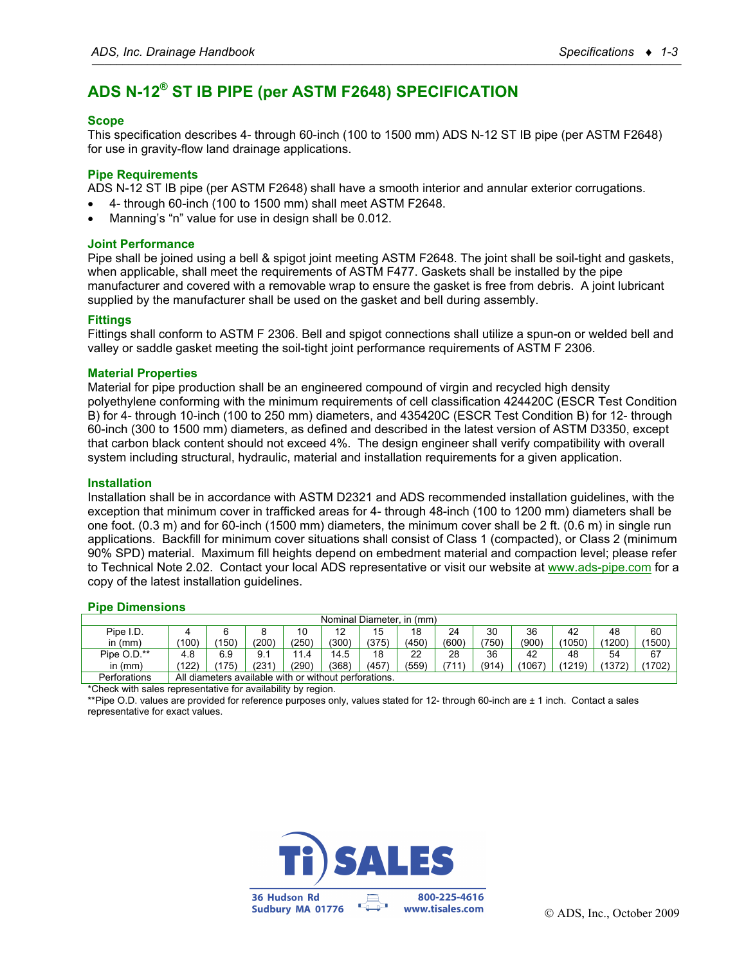# **ADS N-12® ST IB PIPE (per ASTM F2648) SPECIFICATION**

## **Scope**

This specification describes 4- through 60-inch (100 to 1500 mm) ADS N-12 ST IB pipe (per ASTM F2648) for use in gravity-flow land drainage applications.

### **Pipe Requirements**

ADS N-12 ST IB pipe (per ASTM F2648) shall have a smooth interior and annular exterior corrugations.

- 4- through 60-inch (100 to 1500 mm) shall meet ASTM F2648.
- Manning's "n" value for use in design shall be 0.012.

### **Joint Performance**

Pipe shall be joined using a bell & spigot joint meeting ASTM F2648. The joint shall be soil-tight and gaskets, when applicable, shall meet the requirements of ASTM F477. Gaskets shall be installed by the pipe manufacturer and covered with a removable wrap to ensure the gasket is free from debris. A joint lubricant supplied by the manufacturer shall be used on the gasket and bell during assembly.

### **Fittings**

Fittings shall conform to ASTM F 2306. Bell and spigot connections shall utilize a spun-on or welded bell and valley or saddle gasket meeting the soil-tight joint performance requirements of ASTM F 2306.

### **Material Properties**

Material for pipe production shall be an engineered compound of virgin and recycled high density polyethylene conforming with the minimum requirements of cell classification 424420C (ESCR Test Condition B) for 4- through 10-inch (100 to 250 mm) diameters, and 435420C (ESCR Test Condition B) for 12- through 60-inch (300 to 1500 mm) diameters, as defined and described in the latest version of ASTM D3350, except that carbon black content should not exceed 4%. The design engineer shall verify compatibility with overall system including structural, hydraulic, material and installation requirements for a given application.

#### **Installation**

Installation shall be in accordance with ASTM D2321 and ADS recommended installation guidelines, with the exception that minimum cover in trafficked areas for 4- through 48-inch (100 to 1200 mm) diameters shall be one foot. (0.3 m) and for 60-inch (1500 mm) diameters, the minimum cover shall be 2 ft. (0.6 m) in single run applications. Backfill for minimum cover situations shall consist of Class 1 (compacted), or Class 2 (minimum 90% SPD) material. Maximum fill heights depend on embedment material and compaction level; please refer to Technical Note 2.02. Contact your local ADS representative or visit our website at www.ads-pipe.com for a copy of the latest installation guidelines.

#### **Pipe Dimensions**

| Nominal Diameter, in (mm) |                                                       |       |       |       |       |       |       |      |       |       |        |        |        |
|---------------------------|-------------------------------------------------------|-------|-------|-------|-------|-------|-------|------|-------|-------|--------|--------|--------|
| Pipe I.D.                 |                                                       |       |       | 10    | 12    | 15    | 18    | 24   | 30    | 36    | 42     | 48     | 60     |
| in $(mm)$                 | (100)                                                 | 150)  | (200) | (250) | (300) | (375) | (450) | (600 | (750) | (900, | 1050   | (1200) | (1500) |
| Pipe O.D.**               | 4.8                                                   | 6.9   | 9.1   | 11.4  | 14.5  | 18    | 22    | 28   | 36    | 42    | 48     | 54     | 67     |
| in $(mm)$                 | (122)                                                 | (175) | (231  | (290) | (368) | (457) | (559) | 711  | (914) | 1067  | (1219) | (1372) | (1702) |
| Perforations              | All diameters available with or without perforations. |       |       |       |       |       |       |      |       |       |        |        |        |

\*Check with sales representative for availability by region.

\*\*Pipe O.D. values are provided for reference purposes only, values stated for 12- through 60-inch are ± 1 inch. Contact a sales representative for exact values.